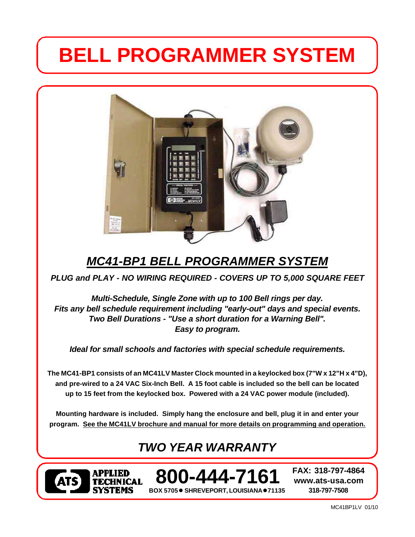# **BELL PROGRAMMER SYSTEM**



# *MC41-BP1 BELL PROGRAMMER SYSTEM*

*PLUG and PLAY - NO WIRING REQUIRED - COVERS UP TO 5,000 SQUARE FEET*

*Multi-Schedule, Single Zone with up to 100 Bell rings per day. Fits any bell schedule requirement including "early-out" days and special events. Two Bell Durations - "Use a short duration for a Warning Bell". Easy to program.*

*Ideal for small schools and factories with special schedule requirements.*

**The MC41-BP1 consists of an MC41LV Master Clock mounted in a keylocked box (7"W x 12"H x 4"D), and pre-wired to a 24 VAC Six-Inch Bell. A 15 foot cable is included so the bell can be located up to 15 feet from the keylocked box. Powered with a 24 VAC power module (included).**

**Mounting hardware is included. Simply hang the enclosure and bell, plug it in and enter your program. See the MC41LV brochure and manual for more details on programming and operation.**

# *TWO YEAR WARRANTY*



**BOX 5705● SHREVEPORT, LOUISIANA●71135 800-444-7161 FAX: 318-797-4864**

**www.ats-usa.com 318-797-7508**

MC41BP1LV 01/10